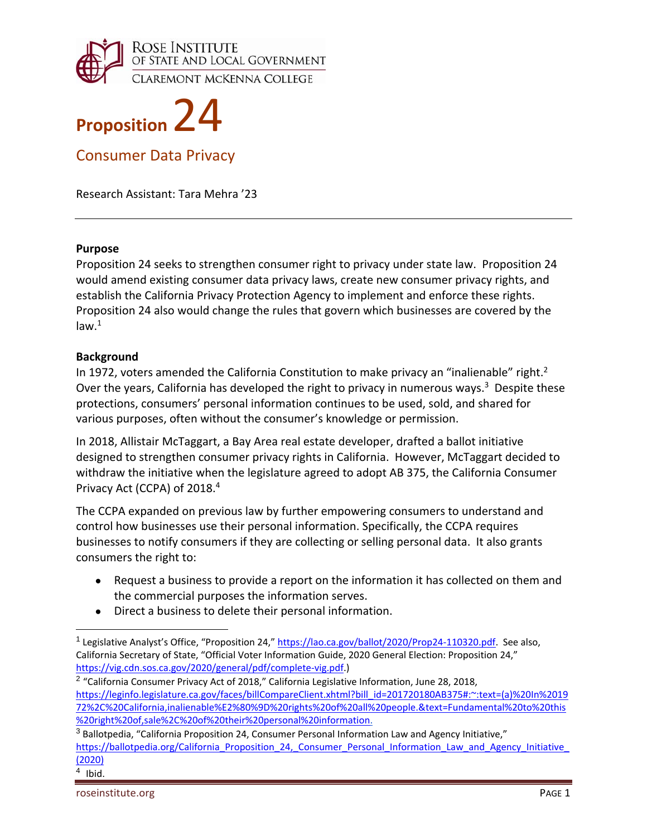



Consumer Data Privacy

Research Assistant: Tara Mehra '23

#### **Purpose**

Proposition 24 seeks to strengthen consumer right to privacy under state law. Proposition 24 would amend existing consumer data privacy laws, create new consumer privacy rights, and establish the California Privacy Protection Agency to implement and enforce these rights. Proposition 24 also would change the rules that govern which businesses are covered by the  $law.<sup>1</sup>$ 

### **Background**

In 1972, voters amended the California Constitution to make privacy an "inalienable" right.<sup>2</sup> Over the years, California has developed the right to privacy in numerous ways.<sup>3</sup> Despite these protections, consumers' personal information continues to be used, sold, and shared for various purposes, often without the consumer's knowledge or permission.

In 2018, Allistair McTaggart, a Bay Area real estate developer, drafted a ballot initiative designed to strengthen consumer privacy rights in California. However, McTaggart decided to withdraw the initiative when the legislature agreed to adopt AB 375, the California Consumer Privacy Act (CCPA) of 2018.<sup>4</sup>

The CCPA expanded on previous law by further empowering consumers to understand and control how businesses use their personal information. Specifically, the CCPA requires businesses to notify consumers if they are collecting or selling personal data. It also grants consumers the right to:

- Request a business to provide a report on the information it has collected on them and the commercial purposes the information serves.
- Direct a business to delete their personal information.

-

<sup>&</sup>lt;sup>1</sup> Legislative Analyst's Office, "Proposition 24," https://lao.ca.gov/ballot/2020/Prop24-110320.pdf. See also, California Secretary of State, "Official Voter Information Guide, 2020 General Election: Proposition 24," https://vig.cdn.sos.ca.gov/2020/general/pdf/complete‐vig.pdf.)

 $2$  "California Consumer Privacy Act of 2018," California Legislative Information, June 28, 2018, https://leginfo.legislature.ca.gov/faces/billCompareClient.xhtml?bill\_id=201720180AB375#:~:text=(a)%20In%2019 72%2C%20California,inalienable%E2%80%9D%20rights%20of%20all%20people.&text=Fundamental%20to%20this %20right%20of,sale%2C%20of%20their%20personal%20information.

 $3$  Ballotpedia, "California Proposition 24, Consumer Personal Information Law and Agency Initiative," https://ballotpedia.org/California\_Proposition\_24,\_Consumer\_Personal\_Information\_Law\_and\_Agency\_Initiative (2020)

 $4$  Ibid.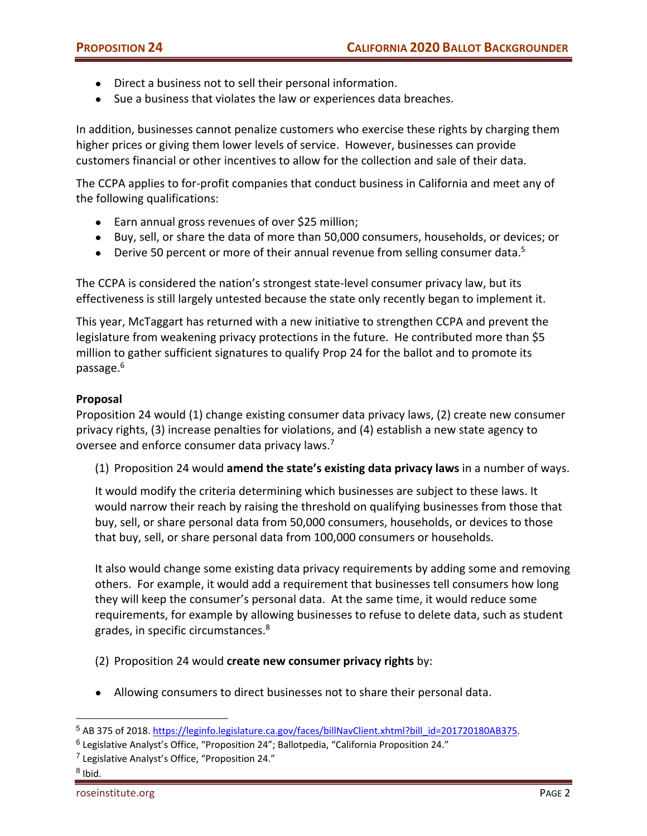- Direct a business not to sell their personal information.
- Sue a business that violates the law or experiences data breaches.

In addition, businesses cannot penalize customers who exercise these rights by charging them higher prices or giving them lower levels of service. However, businesses can provide customers financial or other incentives to allow for the collection and sale of their data.

The CCPA applies to for‐profit companies that conduct business in California and meet any of the following qualifications:

- Earn annual gross revenues of over \$25 million;
- Buy, sell, or share the data of more than 50,000 consumers, households, or devices; or
- Derive 50 percent or more of their annual revenue from selling consumer data.<sup>5</sup>

The CCPA is considered the nation's strongest state-level consumer privacy law, but its effectiveness is still largely untested because the state only recently began to implement it.

This year, McTaggart has returned with a new initiative to strengthen CCPA and prevent the legislature from weakening privacy protections in the future. He contributed more than \$5 million to gather sufficient signatures to qualify Prop 24 for the ballot and to promote its passage.6

### **Proposal**

Proposition 24 would (1) change existing consumer data privacy laws, (2) create new consumer privacy rights, (3) increase penalties for violations, and (4) establish a new state agency to oversee and enforce consumer data privacy laws.<sup>7</sup>

(1) Proposition 24 would **amend the state's existing data privacy laws** in a number of ways.

It would modify the criteria determining which businesses are subject to these laws. It would narrow their reach by raising the threshold on qualifying businesses from those that buy, sell, or share personal data from 50,000 consumers, households, or devices to those that buy, sell, or share personal data from 100,000 consumers or households.

It also would change some existing data privacy requirements by adding some and removing others. For example, it would add a requirement that businesses tell consumers how long they will keep the consumer's personal data. At the same time, it would reduce some requirements, for example by allowing businesses to refuse to delete data, such as student grades, in specific circumstances.<sup>8</sup>

(2) Proposition 24 would **create new consumer privacy rights** by:

● Allowing consumers to direct businesses not to share their personal data.

<sup>5</sup> AB 375 of 2018. https://leginfo.legislature.ca.gov/faces/billNavClient.xhtml?bill\_id=201720180AB375.

<sup>6</sup> Legislative Analyst's Office, "Proposition 24"; Ballotpedia, "California Proposition 24."

<sup>7</sup> Legislative Analyst's Office, "Proposition 24."

 $8$  Ibid.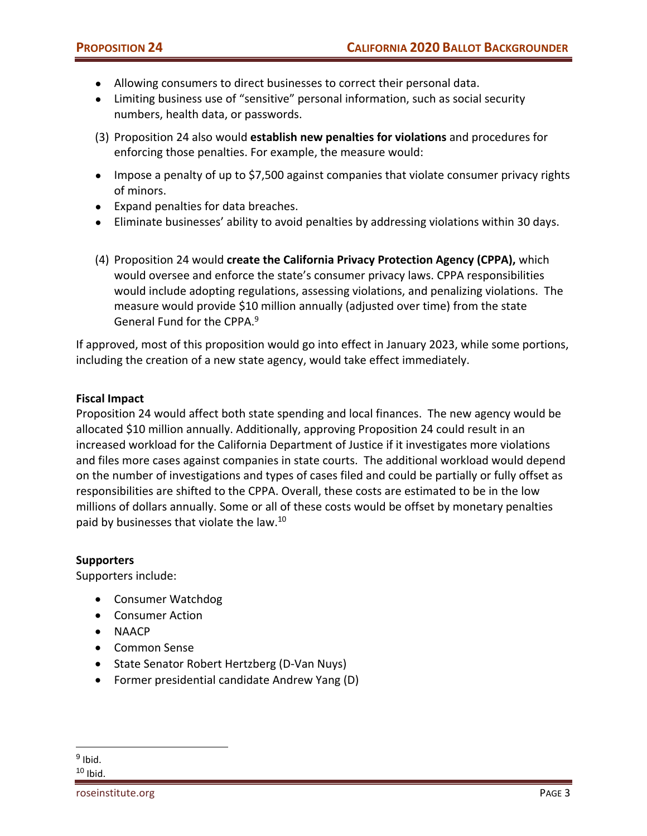- Allowing consumers to direct businesses to correct their personal data.
- Limiting business use of "sensitive" personal information, such as social security numbers, health data, or passwords.
- (3) Proposition 24 also would **establish new penalties for violations** and procedures for enforcing those penalties. For example, the measure would:
- Impose a penalty of up to \$7,500 against companies that violate consumer privacy rights of minors.
- Expand penalties for data breaches.
- Eliminate businesses' ability to avoid penalties by addressing violations within 30 days.
- (4) Proposition 24 would **create the California Privacy Protection Agency (CPPA),** which would oversee and enforce the state's consumer privacy laws. CPPA responsibilities would include adopting regulations, assessing violations, and penalizing violations. The measure would provide \$10 million annually (adjusted over time) from the state General Fund for the CPPA.<sup>9</sup>

If approved, most of this proposition would go into effect in January 2023, while some portions, including the creation of a new state agency, would take effect immediately.

# **Fiscal Impact**

Proposition 24 would affect both state spending and local finances. The new agency would be allocated \$10 million annually. Additionally, approving Proposition 24 could result in an increased workload for the California Department of Justice if it investigates more violations and files more cases against companies in state courts. The additional workload would depend on the number of investigations and types of cases filed and could be partially or fully offset as responsibilities are shifted to the CPPA. Overall, these costs are estimated to be in the low millions of dollars annually. Some or all of these costs would be offset by monetary penalties paid by businesses that violate the law.10

### **Supporters**

Supporters include:

- Consumer Watchdog
- Consumer Action
- NAACP
- Common Sense
- State Senator Robert Hertzberg (D-Van Nuys)
- Former presidential candidate Andrew Yang (D)

  $9$  Ibid.  $10$  Ibid.